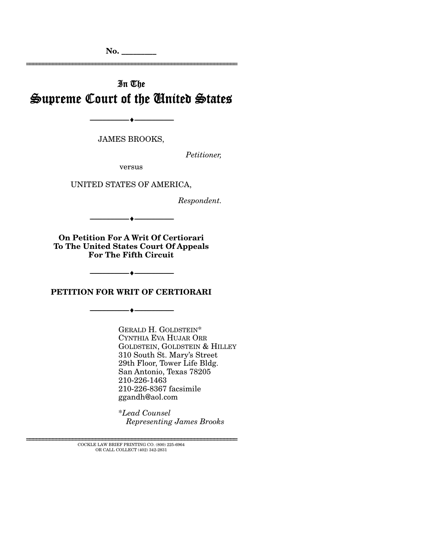**No. \_\_\_\_\_\_\_\_\_** 

# In The Supreme Court of the United States

================================================================

--------------------------------- i ---------------------------------

JAMES BROOKS,

*Petitioner,* 

versus

UNITED STATES OF AMERICA,

*Respondent.* 

--------------------------------- i ---------------------------------

**On Petition For A Writ Of Certiorari To The United States Court Of Appeals For The Fifth Circuit** 

**PETITION FOR WRIT OF CERTIORARI** 

--------------------------------- i ---------------------------------

--------------------------------- i ---------------------------------

GERALD H. GOLDSTEIN\* CYNTHIA EVA HUJAR ORR GOLDSTEIN, GOLDSTEIN & HILLEY 310 South St. Mary's Street 29th Floor, Tower Life Bldg. San Antonio, Texas 78205 210-226-1463 210-226-8367 facsimile ggandh@aol.com

\**Lead Counsel Representing James Brooks*

 ${\tt COCKLE}$  LAW BRIEF PRINTING CO. (800) 225-6964 OR CALL COLLECT (402) 342-2831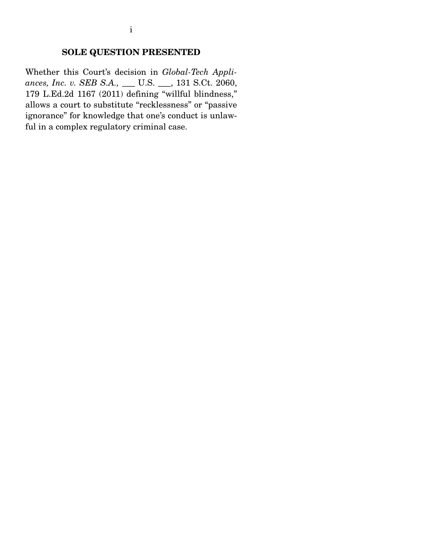## **SOLE QUESTION PRESENTED**

Whether this Court's decision in *Global-Tech Appliances, Inc. v. SEB S.A.,* \_\_\_ U.S. \_\_\_, 131 S.Ct. 2060, 179 L.Ed.2d 1167 (2011) defining "willful blindness," allows a court to substitute "recklessness" or "passive ignorance" for knowledge that one's conduct is unlawful in a complex regulatory criminal case.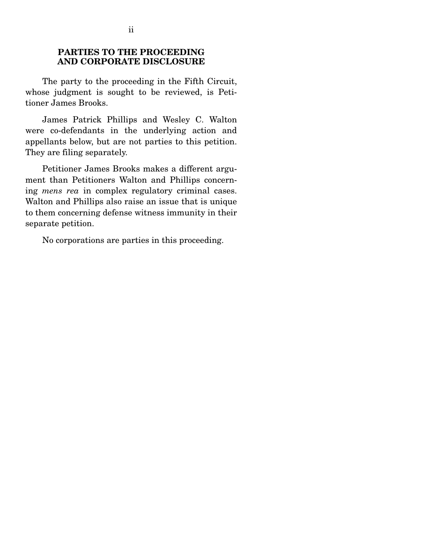## **PARTIES TO THE PROCEEDING AND CORPORATE DISCLOSURE**

 The party to the proceeding in the Fifth Circuit, whose judgment is sought to be reviewed, is Petitioner James Brooks.

 James Patrick Phillips and Wesley C. Walton were co-defendants in the underlying action and appellants below, but are not parties to this petition. They are filing separately.

 Petitioner James Brooks makes a different argument than Petitioners Walton and Phillips concerning *mens rea* in complex regulatory criminal cases. Walton and Phillips also raise an issue that is unique to them concerning defense witness immunity in their separate petition.

No corporations are parties in this proceeding.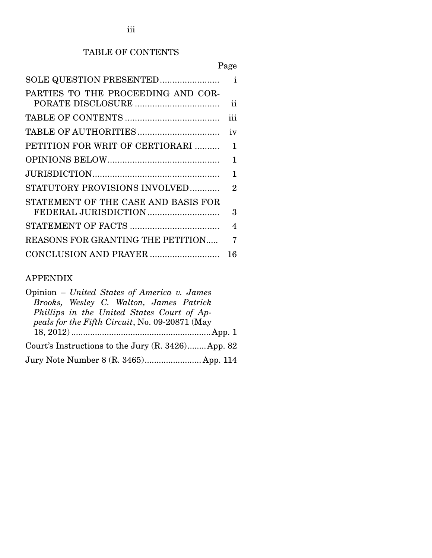## TABLE OF CONTENTS

|--|

| SOLE QUESTION PRESENTED             | $\mathbf{i}$             |
|-------------------------------------|--------------------------|
| PARTIES TO THE PROCEEDING AND COR-  |                          |
|                                     | ii                       |
|                                     | iii                      |
|                                     | iv                       |
| PETITION FOR WRIT OF CERTIORARI     | 1                        |
|                                     | 1                        |
|                                     | 1                        |
| STATUTORY PROVISIONS INVOLVED       | $\overline{2}$           |
| STATEMENT OF THE CASE AND BASIS FOR |                          |
| FEDERAL JURISDICTION                | 3                        |
|                                     | $\overline{\mathcal{A}}$ |
| REASONS FOR GRANTING THE PETITION   | 7                        |
| CONCLUSION AND PRAYER               | 16                       |

## APPENDIX

| Opinion – United States of America v. James          |
|------------------------------------------------------|
| Brooks, Wesley C. Walton, James Patrick              |
| Phillips in the United States Court of Ap-           |
| peals for the Fifth Circuit, No. 09-20871 (May       |
|                                                      |
| Court's Instructions to the Jury $(R. 3426)$ App. 82 |
|                                                      |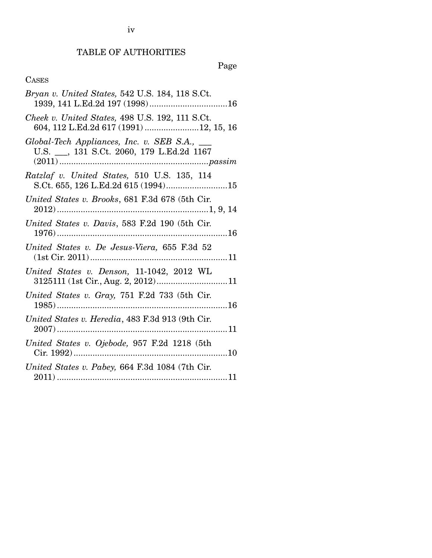iv

# TABLE OF AUTHORITIES

# Page

# CASES

| Bryan v. United States, 542 U.S. 184, 118 S.Ct.                                           |
|-------------------------------------------------------------------------------------------|
| Cheek v. United States, 498 U.S. 192, 111 S.Ct.<br>604, 112 L.Ed.2d 617 (1991) 12, 15, 16 |
| Global-Tech Appliances, Inc. v. SEB S.A., __<br>U.S. __, 131 S.Ct. 2060, 179 L.Ed.2d 1167 |
| Ratzlaf v. United States, 510 U.S. 135, 114<br>S.Ct. 655, 126 L.Ed.2d 615 (1994)15        |
| United States v. Brooks, 681 F.3d 678 (5th Cir.                                           |
| United States v. Davis, 583 F.2d 190 (5th Cir.                                            |
| United States v. De Jesus-Viera, 655 F.3d 52                                              |
| United States v. Denson, 11-1042, 2012 WL<br>3125111 (1st Cir., Aug. 2, 2012)11           |
| United States v. Gray, 751 F.2d 733 (5th Cir.                                             |
| United States v. Heredia, 483 F.3d 913 (9th Cir.                                          |
| United States v. Ojebode, 957 F.2d 1218 (5th                                              |
| United States v. Pabey, 664 F.3d 1084 (7th Cir.                                           |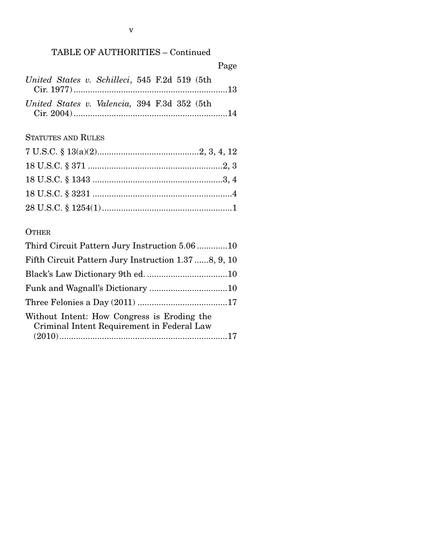# TABLE OF AUTHORITIES – Continued

|                                               |  |  | Page |
|-----------------------------------------------|--|--|------|
| United States v. Schilleci, 545 F.2d 519 (5th |  |  |      |
| United States v. Valencia, 394 F.3d 352 (5th  |  |  |      |

## STATUTES AND RULES

## **OTHER**

| Third Circuit Pattern Jury Instruction 5.0610                                             |  |
|-------------------------------------------------------------------------------------------|--|
| Fifth Circuit Pattern Jury Instruction 1.37 8, 9, 10                                      |  |
|                                                                                           |  |
|                                                                                           |  |
|                                                                                           |  |
| Without Intent: How Congress is Eroding the<br>Criminal Intent Requirement in Federal Law |  |
|                                                                                           |  |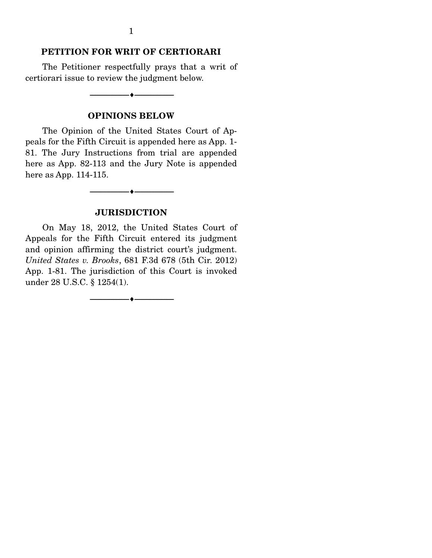### **PETITION FOR WRIT OF CERTIORARI**

 The Petitioner respectfully prays that a writ of certiorari issue to review the judgment below.

 $-$ 

**OPINIONS BELOW** 

 The Opinion of the United States Court of Appeals for the Fifth Circuit is appended here as App. 1- 81. The Jury Instructions from trial are appended here as App. 82-113 and the Jury Note is appended here as App. 114-115.

#### **JURISDICTION**

--------------------------------- i ---------------------------------

 On May 18, 2012, the United States Court of Appeals for the Fifth Circuit entered its judgment and opinion affirming the district court's judgment. *United States v. Brooks*, 681 F.3d 678 (5th Cir. 2012) App. 1-81. The jurisdiction of this Court is invoked under 28 U.S.C. § 1254(1).

 $-$ 

1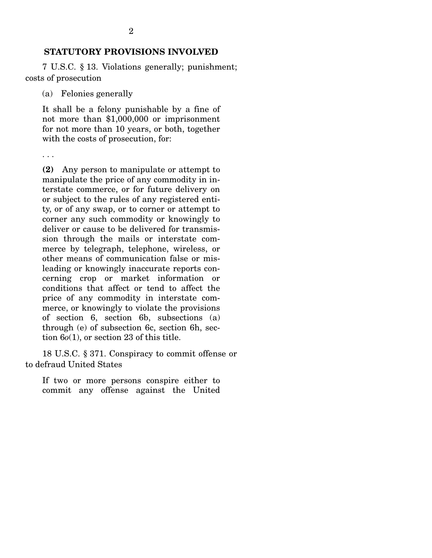7 U.S.C. § 13. Violations generally; punishment; costs of prosecution

(a) Felonies generally

. . .

It shall be a felony punishable by a fine of not more than \$1,000,000 or imprisonment for not more than 10 years, or both, together with the costs of prosecution, for:

**(2)** Any person to manipulate or attempt to manipulate the price of any commodity in interstate commerce, or for future delivery on or subject to the rules of any registered entity, or of any swap, or to corner or attempt to corner any such commodity or knowingly to deliver or cause to be delivered for transmission through the mails or interstate commerce by telegraph, telephone, wireless, or other means of communication false or misleading or knowingly inaccurate reports concerning crop or market information or conditions that affect or tend to affect the price of any commodity in interstate commerce, or knowingly to violate the provisions of section 6, section 6b, subsections (a) through (e) of subsection 6c, section 6h, section 6*o*(1), or section 23 of this title.

 18 U.S.C. § 371. Conspiracy to commit offense or to defraud United States

If two or more persons conspire either to commit any offense against the United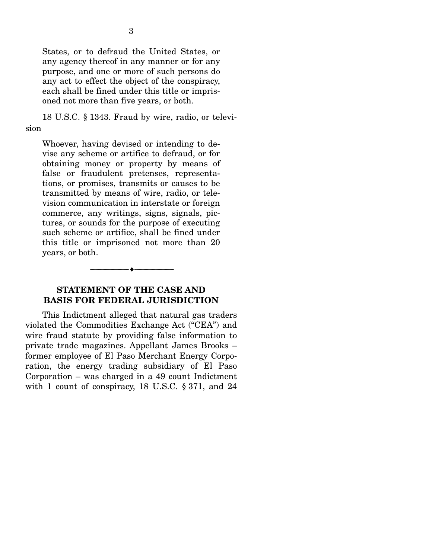States, or to defraud the United States, or any agency thereof in any manner or for any purpose, and one or more of such persons do any act to effect the object of the conspiracy, each shall be fined under this title or imprisoned not more than five years, or both.

 18 U.S.C. § 1343. Fraud by wire, radio, or television

Whoever, having devised or intending to devise any scheme or artifice to defraud, or for obtaining money or property by means of false or fraudulent pretenses, representations, or promises, transmits or causes to be transmitted by means of wire, radio, or television communication in interstate or foreign commerce, any writings, signs, signals, pictures, or sounds for the purpose of executing such scheme or artifice, shall be fined under this title or imprisoned not more than 20 years, or both.

### **STATEMENT OF THE CASE AND BASIS FOR FEDERAL JURISDICTION**

--------------------------------- i ---------------------------------

 This Indictment alleged that natural gas traders violated the Commodities Exchange Act ("CEA") and wire fraud statute by providing false information to private trade magazines. Appellant James Brooks – former employee of El Paso Merchant Energy Corporation, the energy trading subsidiary of El Paso Corporation – was charged in a 49 count Indictment with 1 count of conspiracy, 18 U.S.C. § 371, and 24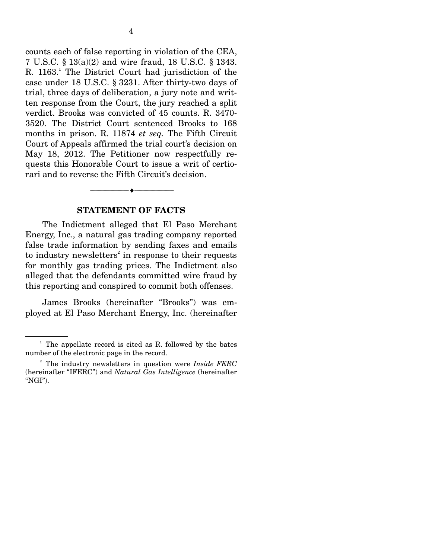counts each of false reporting in violation of the CEA, 7 U.S.C. § 13(a)(2) and wire fraud, 18 U.S.C. § 1343. R. 1163.<sup>1</sup> The District Court had jurisdiction of the case under 18 U.S.C. § 3231. After thirty-two days of trial, three days of deliberation, a jury note and written response from the Court, the jury reached a split verdict. Brooks was convicted of 45 counts. R. 3470- 3520. The District Court sentenced Brooks to 168 months in prison. R. 11874 *et seq.* The Fifth Circuit Court of Appeals affirmed the trial court's decision on May 18, 2012. The Petitioner now respectfully requests this Honorable Court to issue a writ of certiorari and to reverse the Fifth Circuit's decision.

#### **STATEMENT OF FACTS**

--------------------------------- i ---------------------------------

 The Indictment alleged that El Paso Merchant Energy, Inc., a natural gas trading company reported false trade information by sending faxes and emails to industry newsletters<sup>2</sup> in response to their requests for monthly gas trading prices. The Indictment also alleged that the defendants committed wire fraud by this reporting and conspired to commit both offenses.

 James Brooks (hereinafter "Brooks") was employed at El Paso Merchant Energy, Inc. (hereinafter

 $1$  The appellate record is cited as R. followed by the bates number of the electronic page in the record.

<sup>2</sup> The industry newsletters in question were *Inside FERC*  (hereinafter "IFERC") and *Natural Gas Intelligence* (hereinafter "NGI").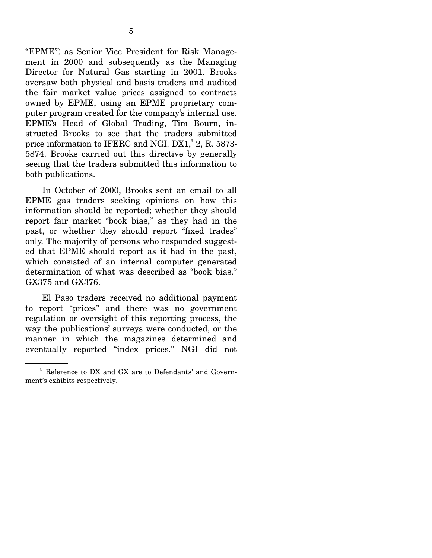"EPME") as Senior Vice President for Risk Management in 2000 and subsequently as the Managing Director for Natural Gas starting in 2001. Brooks oversaw both physical and basis traders and audited the fair market value prices assigned to contracts owned by EPME, using an EPME proprietary computer program created for the company's internal use. EPME's Head of Global Trading, Tim Bourn, instructed Brooks to see that the traders submitted price information to IFERC and NGI.  $DX1$ ,  $2$ , R.  $5873$ -5874. Brooks carried out this directive by generally seeing that the traders submitted this information to both publications.

 In October of 2000, Brooks sent an email to all EPME gas traders seeking opinions on how this information should be reported; whether they should report fair market "book bias," as they had in the past, or whether they should report "fixed trades" only. The majority of persons who responded suggested that EPME should report as it had in the past, which consisted of an internal computer generated determination of what was described as "book bias." GX375 and GX376.

 El Paso traders received no additional payment to report "prices" and there was no government regulation or oversight of this reporting process, the way the publications' surveys were conducted, or the manner in which the magazines determined and eventually reported "index prices." NGI did not

<sup>3</sup> Reference to DX and GX are to Defendants' and Government's exhibits respectively.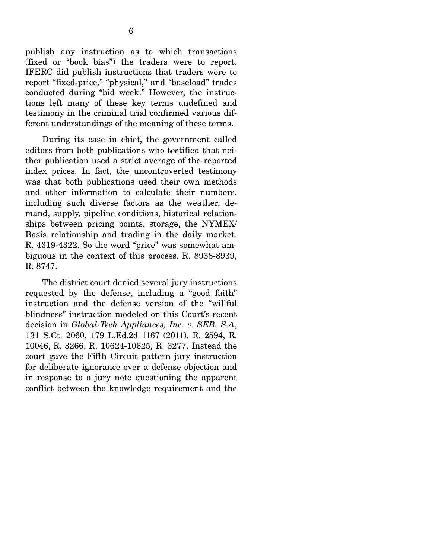publish any instruction as to which transactions (fixed or "book bias") the traders were to report. IFERC did publish instructions that traders were to report "fixed-price," "physical," and "baseload" trades conducted during "bid week." However, the instructions left many of these key terms undefined and testimony in the criminal trial confirmed various different understandings of the meaning of these terms.

 During its case in chief, the government called editors from both publications who testified that neither publication used a strict average of the reported index prices. In fact, the uncontroverted testimony was that both publications used their own methods and other information to calculate their numbers, including such diverse factors as the weather, demand, supply, pipeline conditions, historical relationships between pricing points, storage, the NYMEX/ Basis relationship and trading in the daily market. R. 4319-4322. So the word "price" was somewhat ambiguous in the context of this process. R. 8938-8939, R. 8747.

 The district court denied several jury instructions requested by the defense, including a "good faith" instruction and the defense version of the "willful blindness" instruction modeled on this Court's recent decision in *Global-Tech Appliances, Inc. v. SEB, S.A*, 131 S.Ct. 2060, 179 L.Ed.2d 1167 (2011). R. 2594, R. 10046, R. 3266, R. 10624-10625, R. 3277. Instead the court gave the Fifth Circuit pattern jury instruction for deliberate ignorance over a defense objection and in response to a jury note questioning the apparent conflict between the knowledge requirement and the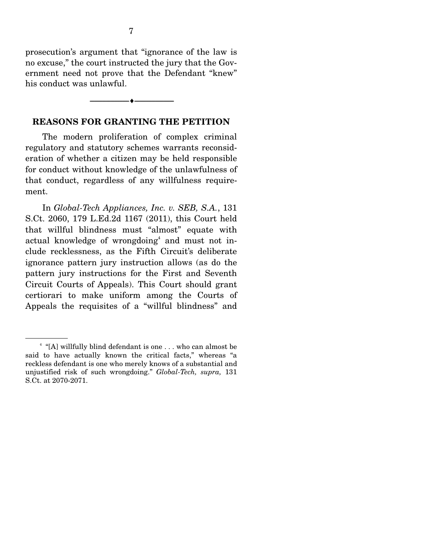prosecution's argument that "ignorance of the law is no excuse," the court instructed the jury that the Government need not prove that the Defendant "knew" his conduct was unlawful.

#### --------------------------------- i ---------------------------------

## **REASONS FOR GRANTING THE PETITION**

 The modern proliferation of complex criminal regulatory and statutory schemes warrants reconsideration of whether a citizen may be held responsible for conduct without knowledge of the unlawfulness of that conduct, regardless of any willfulness requirement.

 In *Global-Tech Appliances, Inc. v. SEB, S.A.*, 131 S.Ct. 2060, 179 L.Ed.2d 1167 (2011), this Court held that willful blindness must "almost" equate with actual knowledge of wrongdoing<sup>4</sup> and must not include recklessness, as the Fifth Circuit's deliberate ignorance pattern jury instruction allows (as do the pattern jury instructions for the First and Seventh Circuit Courts of Appeals). This Court should grant certiorari to make uniform among the Courts of Appeals the requisites of a "willful blindness" and

<sup>4</sup> "[A] willfully blind defendant is one . . . who can almost be said to have actually known the critical facts," whereas "a reckless defendant is one who merely knows of a substantial and unjustified risk of such wrongdoing." *Global-Tech, supra,* 131 S.Ct. at 2070-2071.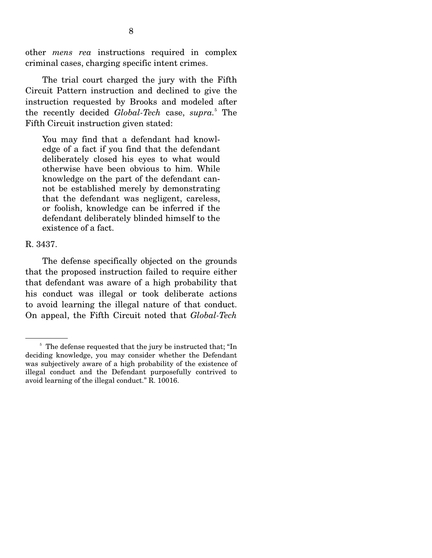other *mens rea* instructions required in complex criminal cases, charging specific intent crimes.

 The trial court charged the jury with the Fifth Circuit Pattern instruction and declined to give the instruction requested by Brooks and modeled after the recently decided *Global-Tech* case, *supra.*<sup>5</sup> The Fifth Circuit instruction given stated:

You may find that a defendant had knowledge of a fact if you find that the defendant deliberately closed his eyes to what would otherwise have been obvious to him. While knowledge on the part of the defendant cannot be established merely by demonstrating that the defendant was negligent, careless, or foolish, knowledge can be inferred if the defendant deliberately blinded himself to the existence of a fact.

#### R. 3437.

 The defense specifically objected on the grounds that the proposed instruction failed to require either that defendant was aware of a high probability that his conduct was illegal or took deliberate actions to avoid learning the illegal nature of that conduct. On appeal, the Fifth Circuit noted that *Global-Tech* 

<sup>&</sup>lt;sup>5</sup> The defense requested that the jury be instructed that; "In deciding knowledge, you may consider whether the Defendant was subjectively aware of a high probability of the existence of illegal conduct and the Defendant purposefully contrived to avoid learning of the illegal conduct." R. 10016.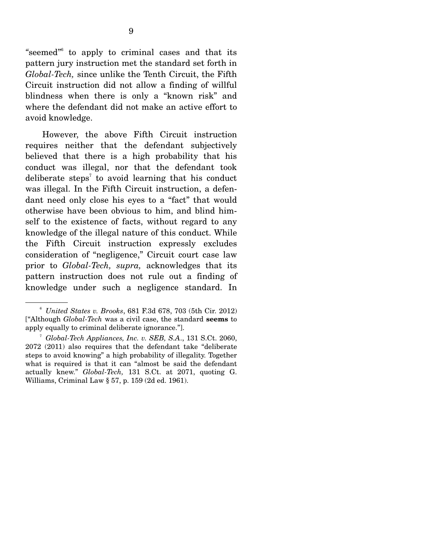"seemed"<sup>6</sup> to apply to criminal cases and that its pattern jury instruction met the standard set forth in *Global-Tech,* since unlike the Tenth Circuit, the Fifth Circuit instruction did not allow a finding of willful blindness when there is only a "known risk" and where the defendant did not make an active effort to avoid knowledge.

 However, the above Fifth Circuit instruction requires neither that the defendant subjectively believed that there is a high probability that his conduct was illegal, nor that the defendant took deliberate steps<sup>7</sup> to avoid learning that his conduct was illegal. In the Fifth Circuit instruction, a defendant need only close his eyes to a "fact" that would otherwise have been obvious to him, and blind himself to the existence of facts, without regard to any knowledge of the illegal nature of this conduct. While the Fifth Circuit instruction expressly excludes consideration of "negligence," Circuit court case law prior to *Global-Tech, supra,* acknowledges that its pattern instruction does not rule out a finding of knowledge under such a negligence standard. In

<sup>6</sup> *United States v. Brooks*, 681 F.3d 678, 703 (5th Cir. 2012) ["Although *Global-Tech* was a civil case, the standard **seems** to apply equally to criminal deliberate ignorance."].

<sup>7</sup> *Global-Tech Appliances, Inc. v. SEB, S.A*., 131 S.Ct. 2060, 2072 (2011) also requires that the defendant take "deliberate steps to avoid knowing" a high probability of illegality. Together what is required is that it can "almost be said the defendant actually knew." *Global-Tech,* 131 S.Ct. at 2071, quoting G. Williams, Criminal Law § 57, p. 159 (2d ed. 1961).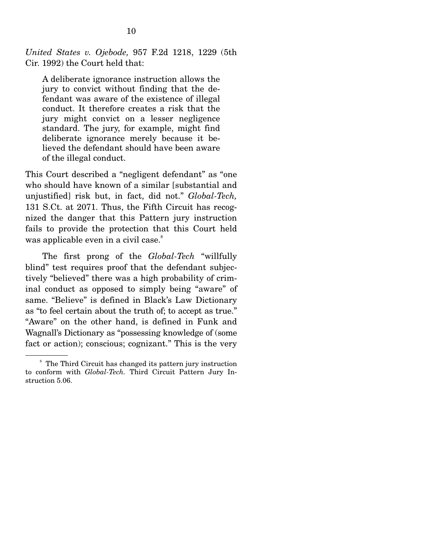*United States v. Ojebode,* 957 F.2d 1218, 1229 (5th Cir. 1992) the Court held that:

A deliberate ignorance instruction allows the jury to convict without finding that the defendant was aware of the existence of illegal conduct. It therefore creates a risk that the jury might convict on a lesser negligence standard. The jury, for example, might find deliberate ignorance merely because it believed the defendant should have been aware of the illegal conduct.

This Court described a "negligent defendant" as "one who should have known of a similar [substantial and unjustified] risk but, in fact, did not." *Global-Tech,* 131 S.Ct. at 2071. Thus, the Fifth Circuit has recognized the danger that this Pattern jury instruction fails to provide the protection that this Court held was applicable even in a civil case.<sup>8</sup>

 The first prong of the *Global-Tech* "willfully blind" test requires proof that the defendant subjectively "believed" there was a high probability of criminal conduct as opposed to simply being "aware" of same. "Believe" is defined in Black's Law Dictionary as "to feel certain about the truth of; to accept as true." "Aware" on the other hand, is defined in Funk and Wagnall's Dictionary as "possessing knowledge of (some fact or action); conscious; cognizant." This is the very

<sup>&</sup>lt;sup>8</sup> The Third Circuit has changed its pattern jury instruction to conform with *Global-Tech.* Third Circuit Pattern Jury Instruction 5.06.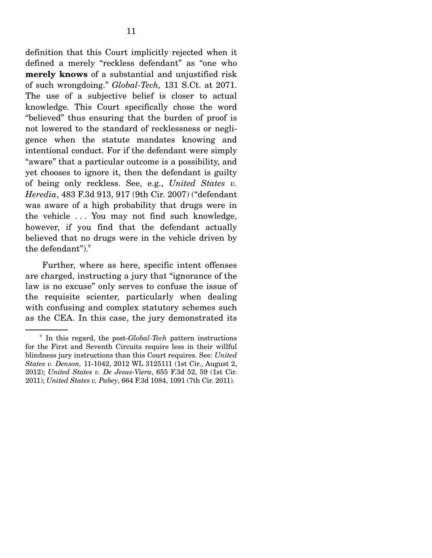definition that this Court implicitly rejected when it defined a merely "reckless defendant" as "one who **merely knows** of a substantial and unjustified risk of such wrongdoing." *Global-Tech,* 131 S.Ct. at 2071. The use of a subjective belief is closer to actual knowledge. This Court specifically chose the word "believed" thus ensuring that the burden of proof is not lowered to the standard of recklessness or negligence when the statute mandates knowing and intentional conduct. For if the defendant were simply "aware" that a particular outcome is a possibility, and yet chooses to ignore it, then the defendant is guilty of being only reckless. See, e.g., *United States v. Heredia*, 483 F.3d 913, 917 (9th Cir. 2007) ("defendant was aware of a high probability that drugs were in the vehicle . . . You may not find such knowledge, however, if you find that the defendant actually believed that no drugs were in the vehicle driven by the defendant"). $\degree$ 

 Further, where as here, specific intent offenses are charged, instructing a jury that "ignorance of the law is no excuse" only serves to confuse the issue of the requisite scienter, particularly when dealing with confusing and complex statutory schemes such as the CEA. In this case, the jury demonstrated its

<sup>9</sup> In this regard, the post-*Global-Tech* pattern instructions for the First and Seventh Circuits require less in their willful blindness jury instructions than this Court requires. See: *United States v. Denson,* 11-1042, 2012 WL 3125111 (1st Cir., August 2, 2012); *United States v. De Jesus-Viera*, 655 F.3d 52, 59 (1st Cir. 2011); *United States v. Pabey*, 664 F.3d 1084, 1091 (7th Cir. 2011).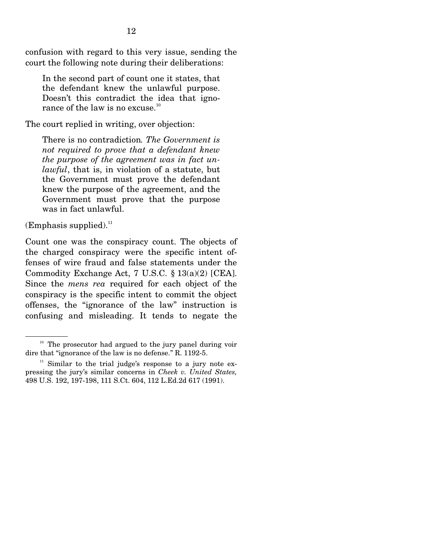confusion with regard to this very issue, sending the court the following note during their deliberations:

In the second part of count one it states, that the defendant knew the unlawful purpose. Doesn't this contradict the idea that ignorance of the law is no excuse. $10$ 

The court replied in writing, over objection:

There is no contradiction*. The Government is not required to prove that a defendant knew the purpose of the agreement was in fact unlawful*, that is, in violation of a statute, but the Government must prove the defendant knew the purpose of the agreement, and the Government must prove that the purpose was in fact unlawful.

 $(Emphasis supplied).$ <sup>11</sup>

Count one was the conspiracy count. The objects of the charged conspiracy were the specific intent offenses of wire fraud and false statements under the Commodity Exchange Act, 7 U.S.C. § 13(a)(2) [CEA]. Since the *mens rea* required for each object of the conspiracy is the specific intent to commit the object offenses, the "ignorance of the law" instruction is confusing and misleading. It tends to negate the

 $10$  The prosecutor had argued to the jury panel during voir dire that "ignorance of the law is no defense." R. 1192-5.

 $11$  Similar to the trial judge's response to a jury note expressing the jury's similar concerns in *Cheek v. United States,*  498 U.S. 192, 197-198, 111 S.Ct. 604, 112 L.Ed.2d 617 (1991).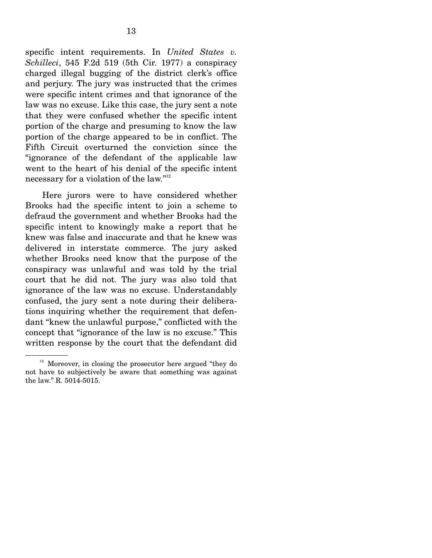specific intent requirements. In *United States v. Schilleci*, 545 F.2d 519 (5th Cir. 1977) a conspiracy charged illegal bugging of the district clerk's office and perjury. The jury was instructed that the crimes were specific intent crimes and that ignorance of the law was no excuse. Like this case, the jury sent a note that they were confused whether the specific intent portion of the charge and presuming to know the law portion of the charge appeared to be in conflict. The Fifth Circuit overturned the conviction since the "ignorance of the defendant of the applicable law went to the heart of his denial of the specific intent necessary for a violation of the law."<sup>12</sup>

 Here jurors were to have considered whether Brooks had the specific intent to join a scheme to defraud the government and whether Brooks had the specific intent to knowingly make a report that he knew was false and inaccurate and that he knew was delivered in interstate commerce. The jury asked whether Brooks need know that the purpose of the conspiracy was unlawful and was told by the trial court that he did not. The jury was also told that ignorance of the law was no excuse. Understandably confused, the jury sent a note during their deliberations inquiring whether the requirement that defendant "knew the unlawful purpose," conflicted with the concept that "ignorance of the law is no excuse." This written response by the court that the defendant did

<sup>&</sup>lt;sup>12</sup> Moreover, in closing the prosecutor here argued "they do not have to subjectively be aware that something was against the law." R. 5014-5015.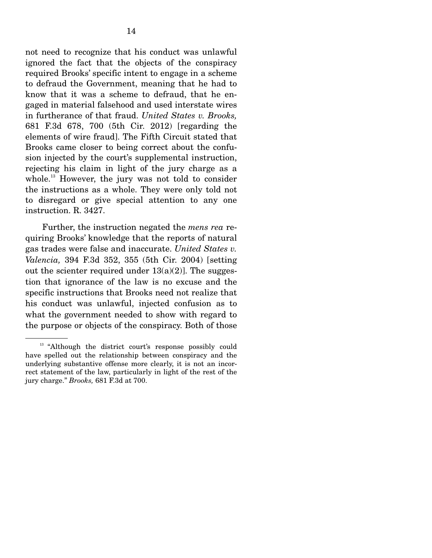not need to recognize that his conduct was unlawful ignored the fact that the objects of the conspiracy required Brooks' specific intent to engage in a scheme to defraud the Government, meaning that he had to know that it was a scheme to defraud, that he engaged in material falsehood and used interstate wires in furtherance of that fraud. *United States v. Brooks,*  681 F.3d 678, 700 (5th Cir. 2012) [regarding the elements of wire fraud]. The Fifth Circuit stated that Brooks came closer to being correct about the confusion injected by the court's supplemental instruction, rejecting his claim in light of the jury charge as a whole.<sup>13</sup> However, the jury was not told to consider the instructions as a whole. They were only told not to disregard or give special attention to any one instruction. R. 3427.

 Further, the instruction negated the *mens rea* requiring Brooks' knowledge that the reports of natural gas trades were false and inaccurate. *United States v. Valencia,* 394 F.3d 352, 355 (5th Cir. 2004) [setting out the scienter required under  $13(a)(2)$ . The suggestion that ignorance of the law is no excuse and the specific instructions that Brooks need not realize that his conduct was unlawful, injected confusion as to what the government needed to show with regard to the purpose or objects of the conspiracy. Both of those

<sup>&</sup>lt;sup>13</sup> "Although the district court's response possibly could have spelled out the relationship between conspiracy and the underlying substantive offense more clearly, it is not an incorrect statement of the law, particularly in light of the rest of the jury charge." *Brooks,* 681 F.3d at 700.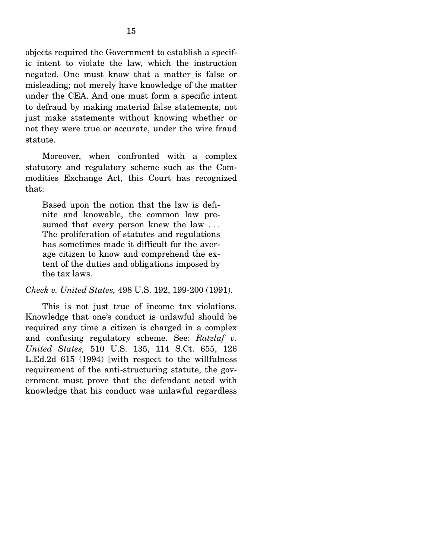objects required the Government to establish a specific intent to violate the law, which the instruction negated. One must know that a matter is false or misleading; not merely have knowledge of the matter under the CEA. And one must form a specific intent to defraud by making material false statements, not just make statements without knowing whether or not they were true or accurate, under the wire fraud statute.

 Moreover, when confronted with a complex statutory and regulatory scheme such as the Commodities Exchange Act, this Court has recognized that:

Based upon the notion that the law is definite and knowable, the common law presumed that every person knew the law ... The proliferation of statutes and regulations has sometimes made it difficult for the average citizen to know and comprehend the extent of the duties and obligations imposed by the tax laws.

*Cheek v. United States,* 498 U.S. 192, 199-200 (1991).

 This is not just true of income tax violations. Knowledge that one's conduct is unlawful should be required any time a citizen is charged in a complex and confusing regulatory scheme. See: *Ratzlaf v. United States,* 510 U.S. 135, 114 S.Ct. 655, 126 L.Ed.2d 615 (1994) [with respect to the willfulness requirement of the anti-structuring statute, the government must prove that the defendant acted with knowledge that his conduct was unlawful regardless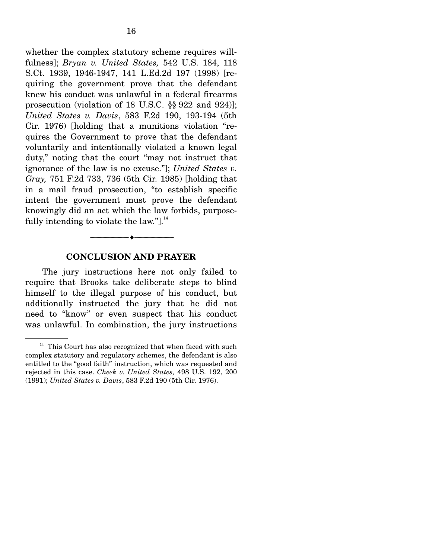whether the complex statutory scheme requires willfulness]; *Bryan v. United States,* 542 U.S. 184, 118 S.Ct. 1939, 1946-1947, 141 L.Ed.2d 197 (1998) [requiring the government prove that the defendant knew his conduct was unlawful in a federal firearms prosecution (violation of 18 U.S.C. §§ 922 and 924)]; *United States v. Davis*, 583 F.2d 190, 193-194 (5th Cir. 1976) [holding that a munitions violation "requires the Government to prove that the defendant voluntarily and intentionally violated a known legal duty," noting that the court "may not instruct that ignorance of the law is no excuse."]; *United States v. Gray,* 751 F.2d 733, 736 (5th Cir. 1985) [holding that in a mail fraud prosecution, "to establish specific intent the government must prove the defendant knowingly did an act which the law forbids, purposefully intending to violate the law." $l^{\frac{1}{4}}$ 

#### **CONCLUSION AND PRAYER**

--------------------------------- i ---------------------------------

 The jury instructions here not only failed to require that Brooks take deliberate steps to blind himself to the illegal purpose of his conduct, but additionally instructed the jury that he did not need to "know" or even suspect that his conduct was unlawful. In combination, the jury instructions

 $^{\rm 14}$  This Court has also recognized that when faced with such complex statutory and regulatory schemes, the defendant is also entitled to the "good faith" instruction, which was requested and rejected in this case. *Cheek v. United States,* 498 U.S. 192, 200 (1991); *United States v. Davis*, 583 F.2d 190 (5th Cir. 1976).